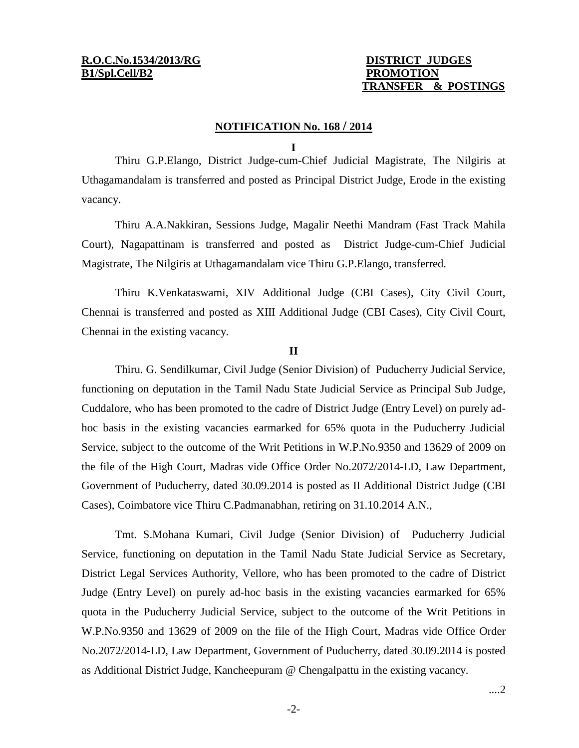## **TRANSFER & POSTINGS**

## **NOTIFICATION No. 168 / 2014**

## **I**

Thiru G.P.Elango, District Judge-cum-Chief Judicial Magistrate, The Nilgiris at Uthagamandalam is transferred and posted as Principal District Judge, Erode in the existing vacancy.

Thiru A.A.Nakkiran, Sessions Judge, Magalir Neethi Mandram (Fast Track Mahila Court), Nagapattinam is transferred and posted as District Judge-cum-Chief Judicial Magistrate, The Nilgiris at Uthagamandalam vice Thiru G.P.Elango, transferred.

Thiru K.Venkataswami, XIV Additional Judge (CBI Cases), City Civil Court, Chennai is transferred and posted as XIII Additional Judge (CBI Cases), City Civil Court, Chennai in the existing vacancy.

## **II**

Thiru. G. Sendilkumar, Civil Judge (Senior Division) of Puducherry Judicial Service, functioning on deputation in the Tamil Nadu State Judicial Service as Principal Sub Judge, Cuddalore, who has been promoted to the cadre of District Judge (Entry Level) on purely adhoc basis in the existing vacancies earmarked for 65% quota in the Puducherry Judicial Service, subject to the outcome of the Writ Petitions in W.P.No.9350 and 13629 of 2009 on the file of the High Court, Madras vide Office Order No.2072/2014-LD, Law Department, Government of Puducherry, dated 30.09.2014 is posted as II Additional District Judge (CBI Cases), Coimbatore vice Thiru C.Padmanabhan, retiring on 31.10.2014 A.N.,

Tmt. S.Mohana Kumari, Civil Judge (Senior Division) of Puducherry Judicial Service, functioning on deputation in the Tamil Nadu State Judicial Service as Secretary, District Legal Services Authority, Vellore, who has been promoted to the cadre of District Judge (Entry Level) on purely ad-hoc basis in the existing vacancies earmarked for 65% quota in the Puducherry Judicial Service, subject to the outcome of the Writ Petitions in W.P.No.9350 and 13629 of 2009 on the file of the High Court, Madras vide Office Order No.2072/2014-LD, Law Department, Government of Puducherry, dated 30.09.2014 is posted as Additional District Judge, Kancheepuram @ Chengalpattu in the existing vacancy.